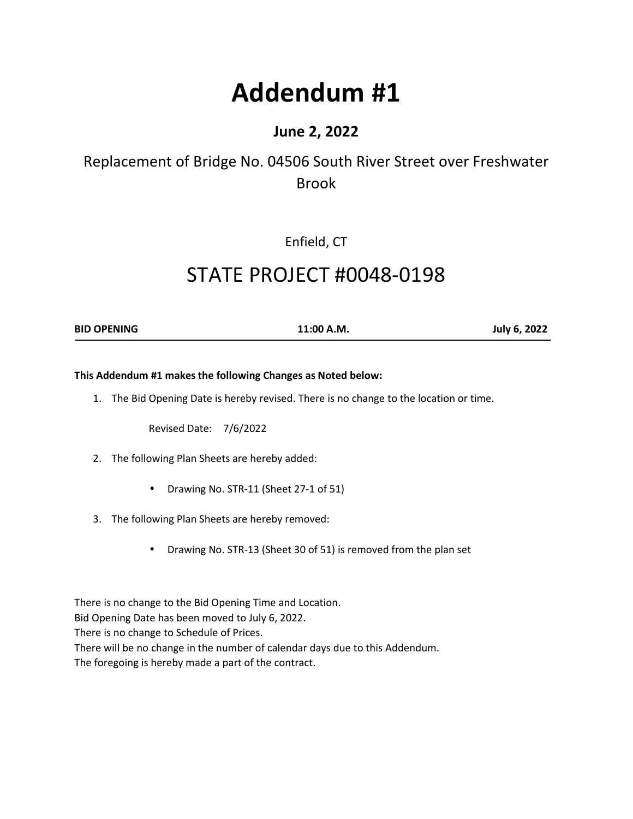# **Addendum #1**

### **June 2, 2022**

## Replacement of Bridge No. 04506 South River Street over Freshwater Brook

Enfield, CT

## STATE PROJECT #0048-0198

**BID OPENING 11:00 A.M. July 6, 2022** 

#### **This Addendum #1 makes the following Changes as Noted below:**

1. The Bid Opening Date is hereby revised. There is no change to the location or time.

Revised Date: 7/6/2022

- 2. The following Plan Sheets are hereby added:
	- Drawing No. STR-11 (Sheet 27-1 of 51)
- 3. The following Plan Sheets are hereby removed:
	- Drawing No. STR-13 (Sheet 30 of 51) is removed from the plan set

There is no change to the Bid Opening Time and Location.

Bid Opening Date has been moved to July 6, 2022.

There is no change to Schedule of Prices.

There will be no change in the number of calendar days due to this Addendum.

The foregoing is hereby made a part of the contract.